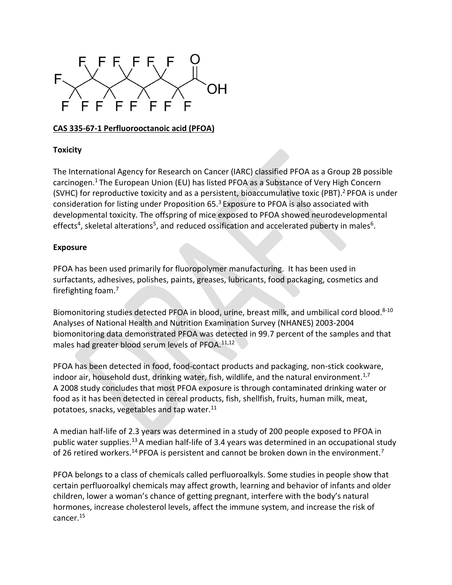

## **CAS 335-67-1 Perfluorooctanoic acid (PFOA)**

## **Toxicity**

The International Agency for Research on Cancer (IARC) classified PFOA as a Group 2B possible carcinogen.<sup>1</sup> The European Union (EU) has listed PFOA as a Substance of Very High Concern (SVHC) for reproductive toxicity and as a persistent, bioaccumulative toxic (PBT). <sup>2</sup> PFOA is under consideration for listing under Proposition  $65.3$  Exposure to PFOA is also associated with developmental toxicity. The offspring of mice exposed to PFOA showed neurodevelopmental effects<sup>4</sup>, skeletal alterations<sup>5</sup>, and reduced ossification and accelerated puberty in males<sup>6</sup>.

## **Exposure**

PFOA has been used primarily for fluoropolymer manufacturing. It has been used in surfactants, adhesives, polishes, paints, greases, lubricants, food packaging, cosmetics and firefighting foam. 7

Biomonitoring studies detected PFOA in blood, urine, breast milk, and umbilical cord blood.<sup>8-10</sup> Analyses of National Health and Nutrition Examination Survey (NHANES) 2003-2004 biomonitoring data demonstrated PFOA was detected in 99.7 percent of the samples and that males had greater blood serum levels of PFOA. $11,12$ 

PFOA has been detected in food, food-contact products and packaging, non-stick cookware, indoor air, household dust, drinking water, fish, wildlife, and the natural environment.<sup>1,7</sup> A 2008 study concludes that most PFOA exposure is through contaminated drinking water or food as it has been detected in cereal products, fish, shellfish, fruits, human milk, meat, potatoes, snacks, vegetables and tap water.<sup>11</sup>

A median half-life of 2.3 years was determined in a study of 200 people exposed to PFOA in public water supplies.<sup>13</sup> A median half-life of 3.4 years was determined in an occupational study of 26 retired workers.<sup>14</sup> PFOA is persistent and cannot be broken down in the environment.<sup>7</sup>

PFOA belongs to a class of chemicals called perfluoroalkyls. Some studies in people show that certain perfluoroalkyl chemicals may affect growth, learning and behavior of infants and older children, lower a woman's chance of getting pregnant, interfere with the body's natural hormones, increase cholesterol levels, affect the immune system, and increase the risk of cancer.15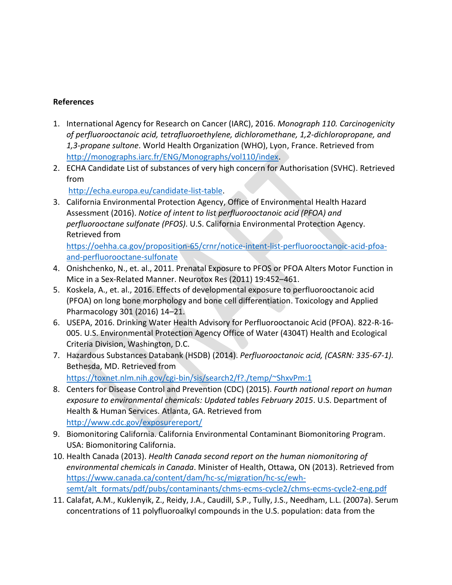## **References**

- 1. International Agency for Research on Cancer (IARC), 2016. *Monograph 110. Carcinogenicity of perfluorooctanoic acid, tetrafluoroethylene, dichloromethane, 1,2-dichloropropane, and 1,3-propane sultone*. World Health Organization (WHO), Lyon, France. Retrieved from [http://monographs.iarc.fr/ENG/Monographs/vol110/index.](http://monographs.iarc.fr/ENG/Monographs/vol110/index)
- 2. ECHA Candidate List of substances of very high concern for Authorisation (SVHC). Retrieved from

[http://echa.europa.eu/candidate-list-table.](http://echa.europa.eu/candidate-list-table)

3. California Environmental Protection Agency, Office of Environmental Health Hazard Assessment (2016). *Notice of intent to list perfluorooctanoic acid (PFOA) and perfluorooctane sulfonate (PFOS)*. U.S. California Environmental Protection Agency. Retrieved from

[https://oehha.ca.gov/proposition-65/crnr/notice-intent-list-perfluorooctanoic-acid-pfoa](https://oehha.ca.gov/proposition-65/crnr/notice-intent-list-perfluorooctanoic-acid-pfoa-and-perfluorooctane-sulfonate)[and-perfluorooctane-sulfonate](https://oehha.ca.gov/proposition-65/crnr/notice-intent-list-perfluorooctanoic-acid-pfoa-and-perfluorooctane-sulfonate)

- 4. Onishchenko, N., et. al., 2011. Prenatal Exposure to PFOS or PFOA Alters Motor Function in Mice in a Sex-Related Manner. Neurotox Res (2011) 19:452–461.
- 5. Koskela, A., et. al., 2016. Effects of developmental exposure to perfluorooctanoic acid (PFOA) on long bone morphology and bone cell differentiation. Toxicology and Applied Pharmacology 301 (2016) 14–21.
- 6. USEPA, 2016. Drinking Water Health Advisory for Perfluorooctanoic Acid (PFOA). 822-R-16- 005. U.S. Environmental Protection Agency Office of Water (4304T) Health and Ecological Criteria Division, Washington, D.C.
- 7. Hazardous Substances Databank (HSDB) (2014). *Perfluorooctanoic acid, (CASRN: 335-67-1).* Bethesda, MD. Retrieved from <https://toxnet.nlm.nih.gov/cgi-bin/sis/search2/f?./temp/~ShxvPm:1>
- 8. Centers for Disease Control and Prevention (CDC) (2015). *Fourth national report on human exposure to environmental chemicals: Updated tables February 2015*. U.S. Department of Health & Human Services. Atlanta, GA. Retrieved from <http://www.cdc.gov/exposurereport/>
- 9. Biomonitoring California. California Environmental Contaminant Biomonitoring Program. USA: Biomonitoring California.
- 10. Health Canada (2013). *Health Canada second report on the human niomonitoring of environmental chemicals in Canada*. Minister of Health, Ottawa, ON (2013). Retrieved from [https://www.canada.ca/content/dam/hc-sc/migration/hc-sc/ewh](https://www.canada.ca/content/dam/hc-sc/migration/hc-sc/ewh-semt/alt_formats/pdf/pubs/contaminants/chms-ecms-cycle2/chms-ecms-cycle2-eng.pdf)[semt/alt\\_formats/pdf/pubs/contaminants/chms-ecms-cycle2/chms-ecms-cycle2-eng.pdf](https://www.canada.ca/content/dam/hc-sc/migration/hc-sc/ewh-semt/alt_formats/pdf/pubs/contaminants/chms-ecms-cycle2/chms-ecms-cycle2-eng.pdf)
- 11. Calafat, A.M., Kuklenyik, Z., Reidy, J.A., Caudill, S.P., Tully, J.S., Needham, L.L. (2007a). Serum concentrations of 11 polyfluoroalkyl compounds in the U.S. population: data from the